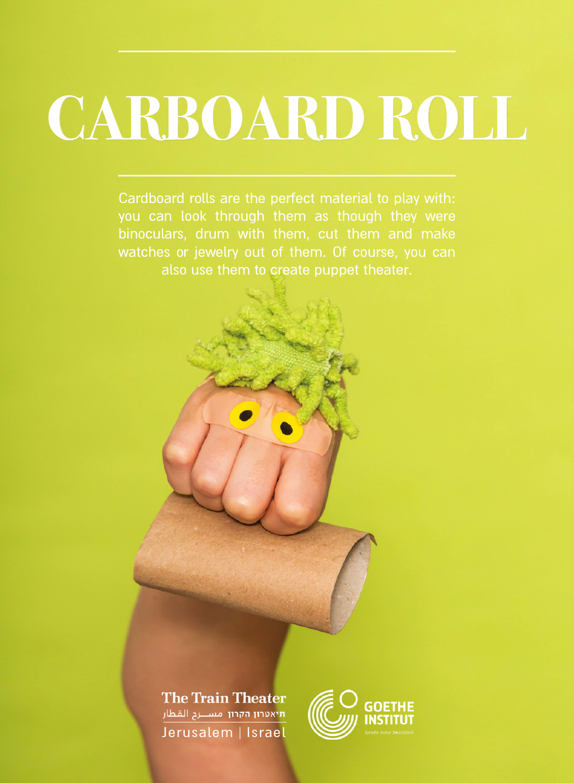# **CARBOARD ROLL**

also use them to create puppet theater.

**The Train Theater** .<br>תיאטרון הקרון (משבעה השביל) Jerusalem | Israel

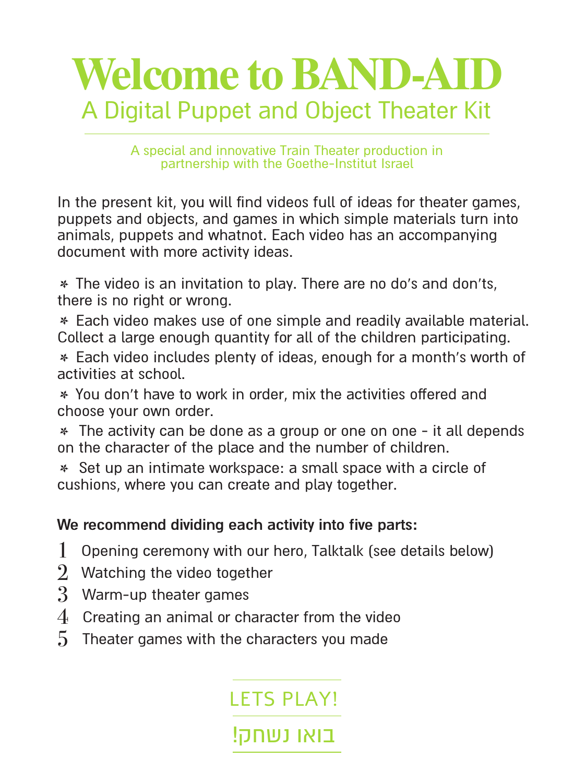

A special and innovative Train Theater production in partnership with the Goethe-Institut Israel

In the present kit, you will find videos full of ideas for theater games. puppets and objects, and games in which simple materials turn into animals, puppets and whatnot. Each video has an accompanying document with more activity ideas.

\* The video is an invitation to play. There are no do's and don'ts. there is no right or wrong.

\* Each video makes use of one simple and readily available material. Collect a large enough quantity for all of the children participating.

\* Each video includes plenty of ideas, enough for a month's worth of activities at school.

\* You don't have to work in order, mix the activities offered and choose your own order.

\* The activity can be done as a group or one on one - it all depends on the character of the place and the number of children.

\* Set up an intimate workspace: a small space with a circle of cushions, where you can create and play together.

#### We recommend dividing each activity into five parts:

- 1 Opening ceremony with our hero, Talktalk (see details below)
- $2$  Watching the video together
- 3 Warm-up theater games
- $4$  Creating an animal or character from the video
- $5$  Theater games with the characters you made

**IFTS PLAY!** 

בואו נשחק!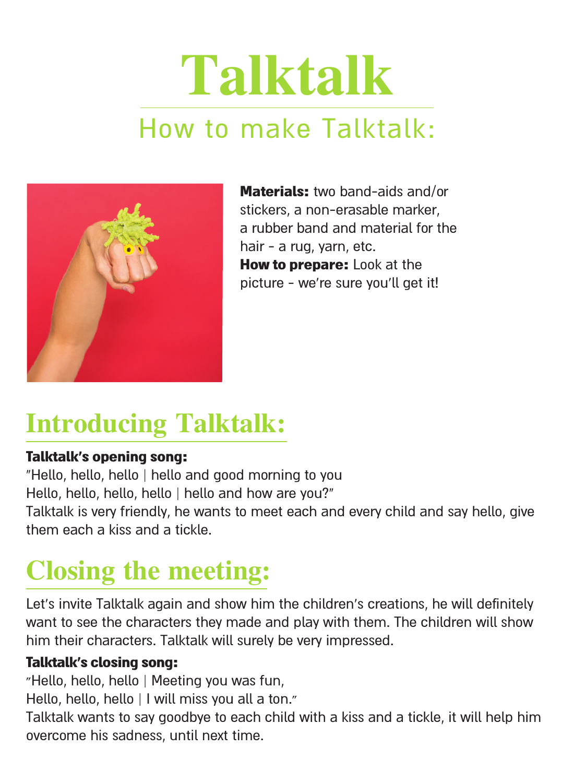## **Talktalk** How to make Talktalk:



**Materials:** two band-aids and/or stickers, a non-erasable-marker. a rubber band and material for the hair - a rug, yarn, etc. **How to prepare:** Look at the picture - we're sure you'll get it!

### **Introducing Talktalk:**

#### Talktalk's opening song:

"Hello, hello, hello | hello and good morning to you Hello, hello, hello, hello | hello and how are you?" Talktalk is very friendly, he wants to meet each and every child and say hello, give them each a kiss and a tickle

### **Closing the meeting:**

Let's invite Talktalk again and show him the children's creations, he will definitely want to see the characters they made and play with them. The children will show him their characters. Talktalk will surely be very impressed.

#### Talktalk's closing song:

"Hello, hello, hello | Meeting you was fun,

Hello, hello, hello | I will miss you all a ton."

Talktalk wants to say goodbye to each child with a kiss and a tickle, it will help him overcome his sadness, until next time.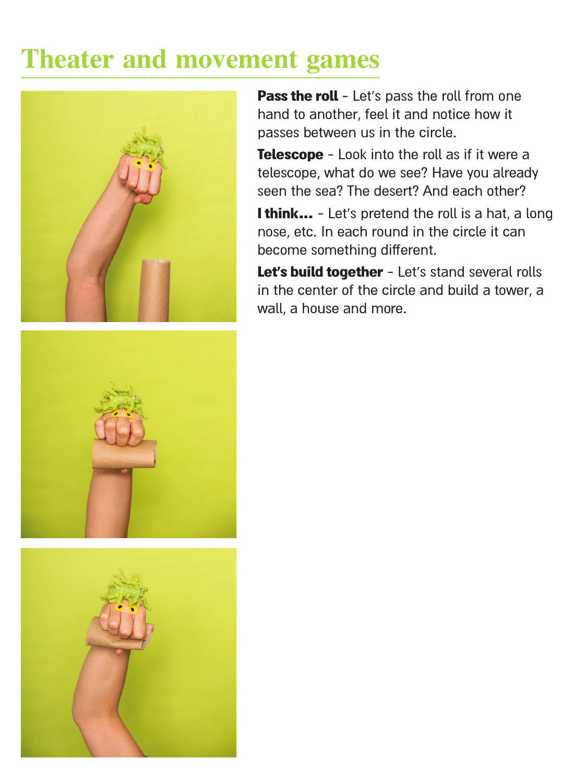### **Theater and movement games**



Pass the roll - Let's pass the roll from one hand to another, feel it and notice how it passes between us in the circle.

Telescope - Look into the roll as if it were a telescope, what do we see? Have you already seen the sea? The desert? And each other?

I think... - Let's pretend the roll is a hat, a long nose, etc. In each round in the circle it can become something different.

Let's build together - Let's stand several rolls in the center of the circle and build a tower, a wall, a house and more.



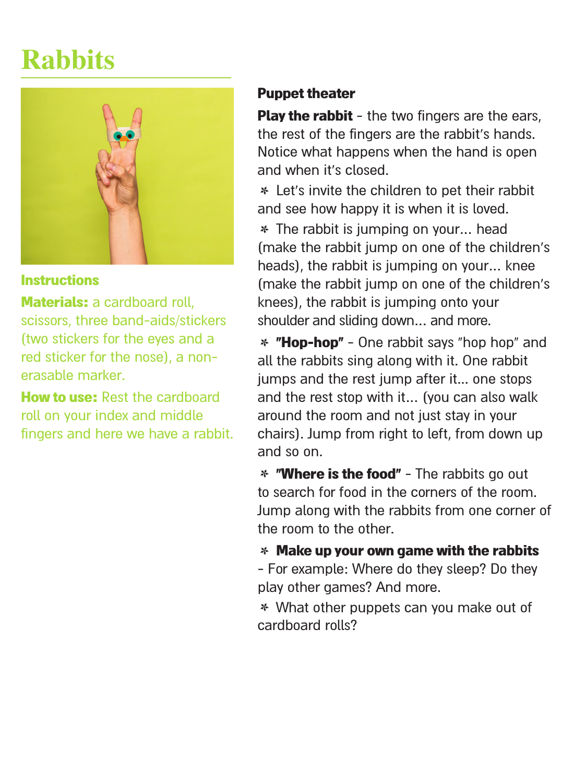### **Rabbits**



#### Instructions

Materials: a cardboard roll. scissors, three band-aids/stickers ftwo stickers for the eyes and a red sticker for the nose), a non-<br>erasable marker.

How to use: Rest the cardboard roll on your index and middle fingers and here we have a rabbit.

#### **Puppet theater**

Play the rabbit - the two fingers are the ears. the rest of the fingers are the rabbit's hands. Notice what happens when the hand is open and when it's closed

\* Let's invite the children to pet their rabbit and see how happy it is when it is loved. \* The rabbit is jumping on your... head (make the rabbit jump on one of the children's heads), the rabbit is jumping on your... knee (make the rabbit jump on one of the children's knees), the rabbit is jumping onto your shoulder and sliding down... and more.

\* "Hop-hop" - One rabbit says "hop hop" and all the rabbits sing along with it. One rabbit jumps and the rest jump after it... one stops and the rest stop with it ... (you can also walk around the room and not just stay in your chairs). Jump from right to left, from down up and so on.

\* "Where is the food" - The rabbits go out to search for food in the corners of the room. lump along with the rabbits from one corner of the room to the other

 $*$  Make up your own game with the rabbits

- For example: Where do they sleep? Do they play other games? And more.

\* What other puppets can you make out of cardboard rolls?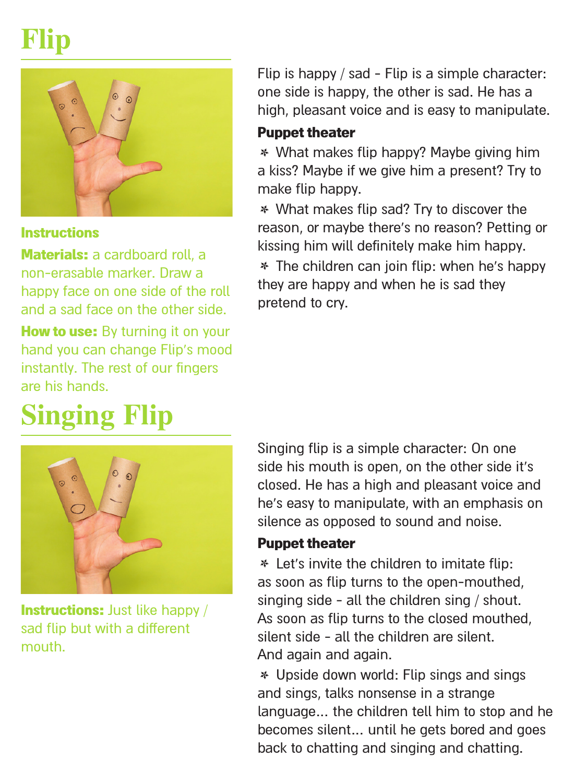### **Flip**



#### **Instructions**

Materials: a cardboard roll, a non-erasable-marker Draw a happy face on one side of the roll and a sad face on the other side.

How to use: By turning it on your hand you can change Flip's mood instantly. The rest of our fingers are his hands

### **Singing** Flip

**Instructions:** Just like happy / sad flip but with a different .mouth

Flip is happy  $/$  sad - Flip is a simple character: one side is happy, the other is sad. He has a high, pleasant voice and is easy to manipulate.

#### **Puppet theater**

\* What makes flip happy? Maybe giving him a kiss? Maybe if we give him a present? Try to make flip happy.

\* What makes flip sad? Try to discover the reason, or maybe there's no reason? Petting or kissing him will definitely make him happy. \* The children can join flip: when he's happy they are happy and when he is sad they pretend to cry.

Singing flip is a simple character: On one side his mouth is onen, on the other side it's closed. He has a high and pleasant voice and he's easy to manipulate, with an emphasis on silence as opposed to sound and noise.

#### **Puppet theater**

\* Let's invite the children to imitate flip: as soon as flip turns to the open-mouthed. singing side - all the children sing  $/$  shout. As soon as flip turns to the closed mouthed. silent side - all the children are silent. And again and again.

\* Upside down world: Flip sings and sings and sings, talks nonsense in a strange language... the children tell him to stop and he becomes silent... until he gets bored and goes back to chatting and singing and chatting.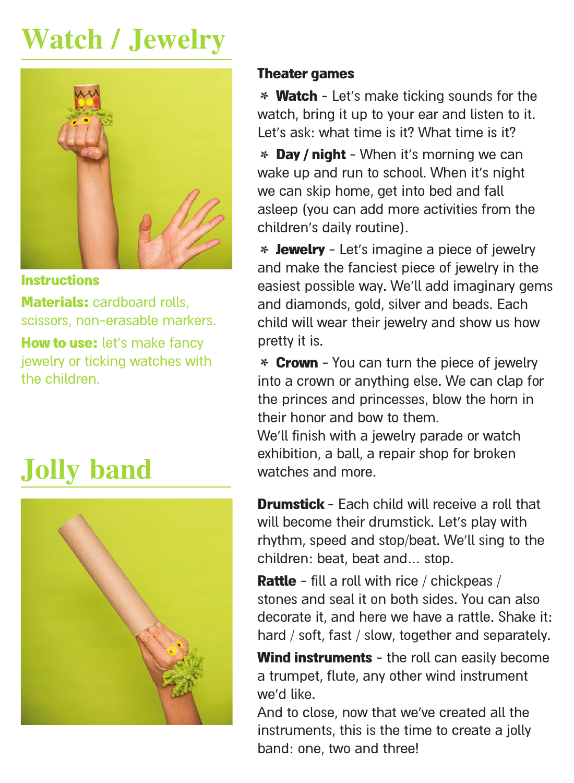### **Watch / Jewelry**



**Instructions** 

Materials: cardboard rolls, scissors, non-erasable markers.

How to use: let's make fancy jewelry or ticking watches with the children

### **Jolly** band



#### **Theater games**

\* Watch - Let's make ticking sounds for the watch, bring it up to your ear and listen to it. I et's ask what time is it? What time is it?

**\* Day / night -** When it's morning we can wake up and run to school. When it's night we can skip home, get into bed and fall asleep (you can add more activities from the children's daily routine).

\* **Jewelry** - Let's imagine a piece of jewelry and make the fanciest piece of jewelry in the easiest possible way. We'll add imaginary gems and diamonds, gold, silver and beads. Each child will wear their jewelry and show us how pretty it is.

\* Crown - You can turn the piece of jewelry into a crown or anything else. We can clap for the princes and princesses, blow the horn in their honor and how to them. We'll finish with a jewelry parade or watch exhibition, a ball, a repair shop for broken<br>watches and more

Drumstick - Fach child will receive a roll that will become their drumstick. Let's play with rhythm, speed and stop/beat. We'll sing to the children: beat, beat and ... stop.

**Rattle** - fill a roll with rice / chickpeas / stones and seal it on hoth sides You can also decorate it, and here we have a rattle. Shake it: hard / soft, fast / slow, together and separately.

Wind instruments - the roll can easily become a trumpet, flute, any other wind instrument we'd like.

And to close, now that we've created all the instruments, this is the time to create a jolly band: one, two and three!